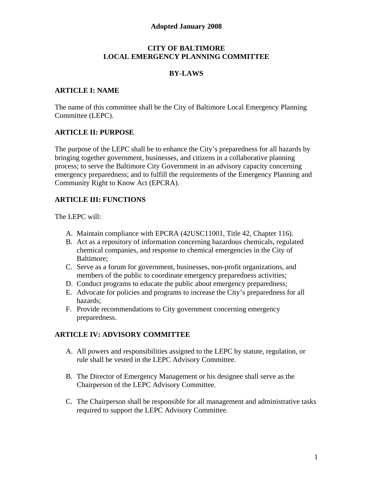### **Adopted January 2008**

#### **CITY OF BALTIMORE LOCAL EMERGENCY PLANNING COMMITTEE**

### **BY-LAWS**

### **ARTICLE I: NAME**

The name of this committee shall be the City of Baltimore Local Emergency Planning Committee (LEPC).

## **ARTICLE II: PURPOSE**

The purpose of the LEPC shall be to enhance the City's preparedness for all hazards by bringing together government, businesses, and citizens in a collaborative planning process; to serve the Baltimore City Government in an advisory capacity concerning emergency preparedness; and to fulfill the requirements of the Emergency Planning and Community Right to Know Act (EPCRA).

## **ARTICLE III: FUNCTIONS**

The LEPC will:

- A. Maintain compliance with EPCRA (42USC11001, Title 42, Chapter 116).
- B. Act as a repository of information concerning hazardous chemicals, regulated chemical companies, and response to chemical emergencies in the City of Baltimore;
- C. Serve as a forum for government, businesses, non-profit organizations, and members of the public to coordinate emergency preparedness activities;
- D. Conduct programs to educate the public about emergency preparedness;
- E. Advocate for policies and programs to increase the City's preparedness for all hazards;
- F. Provide recommendations to City government concerning emergency preparedness.

#### **ARTICLE IV: ADVISORY COMMITTEE**

- A. All powers and responsibilities assigned to the LEPC by statute, regulation, or rule shall be vested in the LEPC Advisory Committee.
- B. The Director of Emergency Management or his designee shall serve as the Chairperson of the LEPC Advisory Committee.
- C. The Chairperson shall be responsible for all management and administrative tasks required to support the LEPC Advisory Committee.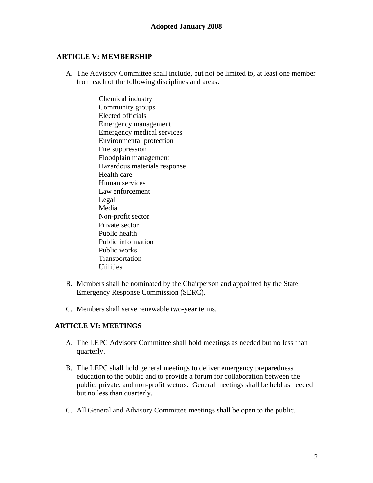## **ARTICLE V: MEMBERSHIP**

A. The Advisory Committee shall include, but not be limited to, at least one member from each of the following disciplines and areas:

> Chemical industry Community groups Elected officials Emergency management Emergency medical services Environmental protection Fire suppression Floodplain management Hazardous materials response Health care Human services Law enforcement Legal Media Non-profit sector Private sector Public health Public information Public works Transportation **Utilities**

- B. Members shall be nominated by the Chairperson and appointed by the State Emergency Response Commission (SERC).
- C. Members shall serve renewable two-year terms.

## **ARTICLE VI: MEETINGS**

- A. The LEPC Advisory Committee shall hold meetings as needed but no less than quarterly.
- B. The LEPC shall hold general meetings to deliver emergency preparedness education to the public and to provide a forum for collaboration between the public, private, and non-profit sectors. General meetings shall be held as needed but no less than quarterly.
- C. All General and Advisory Committee meetings shall be open to the public.